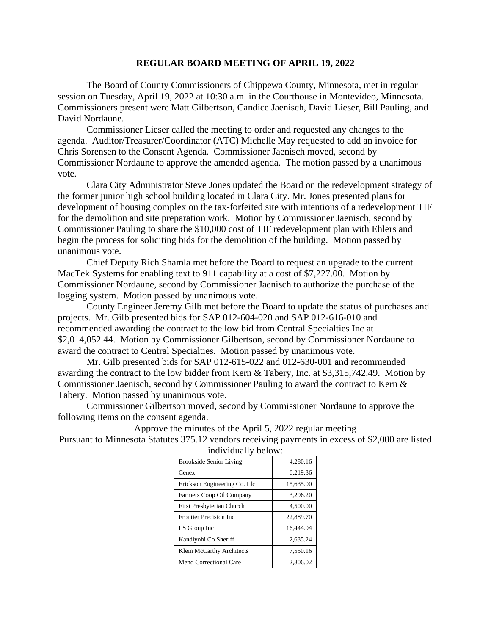## **REGULAR BOARD MEETING OF APRIL 19, 2022**

The Board of County Commissioners of Chippewa County, Minnesota, met in regular session on Tuesday, April 19, 2022 at 10:30 a.m. in the Courthouse in Montevideo, Minnesota. Commissioners present were Matt Gilbertson, Candice Jaenisch, David Lieser, Bill Pauling, and David Nordaune.

Commissioner Lieser called the meeting to order and requested any changes to the agenda. Auditor/Treasurer/Coordinator (ATC) Michelle May requested to add an invoice for Chris Sorensen to the Consent Agenda. Commissioner Jaenisch moved, second by Commissioner Nordaune to approve the amended agenda. The motion passed by a unanimous vote.

Clara City Administrator Steve Jones updated the Board on the redevelopment strategy of the former junior high school building located in Clara City. Mr. Jones presented plans for development of housing complex on the tax-forfeited site with intentions of a redevelopment TIF for the demolition and site preparation work. Motion by Commissioner Jaenisch, second by Commissioner Pauling to share the \$10,000 cost of TIF redevelopment plan with Ehlers and begin the process for soliciting bids for the demolition of the building. Motion passed by unanimous vote.

Chief Deputy Rich Shamla met before the Board to request an upgrade to the current MacTek Systems for enabling text to 911 capability at a cost of \$7,227.00. Motion by Commissioner Nordaune, second by Commissioner Jaenisch to authorize the purchase of the logging system. Motion passed by unanimous vote.

County Engineer Jeremy Gilb met before the Board to update the status of purchases and projects. Mr. Gilb presented bids for SAP 012-604-020 and SAP 012-616-010 and recommended awarding the contract to the low bid from Central Specialties Inc at \$2,014,052.44. Motion by Commissioner Gilbertson, second by Commissioner Nordaune to award the contract to Central Specialties. Motion passed by unanimous vote.

Mr. Gilb presented bids for SAP 012-615-022 and 012-630-001 and recommended awarding the contract to the low bidder from Kern & Tabery, Inc. at \$3,315,742.49. Motion by Commissioner Jaenisch, second by Commissioner Pauling to award the contract to Kern & Tabery. Motion passed by unanimous vote.

Commissioner Gilbertson moved, second by Commissioner Nordaune to approve the following items on the consent agenda.

Approve the minutes of the April 5, 2022 regular meeting Pursuant to Minnesota Statutes 375.12 vendors receiving payments in excess of \$2,000 are listed

| murviaumy octors.              |           |
|--------------------------------|-----------|
| <b>Brookside Senior Living</b> | 4,280.16  |
| Cenex                          | 6,219.36  |
| Erickson Engineering Co. Llc   | 15.635.00 |
| Farmers Coop Oil Company       | 3.296.20  |
| First Presbyterian Church      | 4,500.00  |
| <b>Frontier Precision Inc</b>  | 22,889.70 |
| I S Group Inc                  | 16.444.94 |
| Kandiyohi Co Sheriff           | 2.635.24  |
| Klein McCarthy Architects      | 7.550.16  |
| Mend Correctional Care         | 2,806.02  |

individually below: